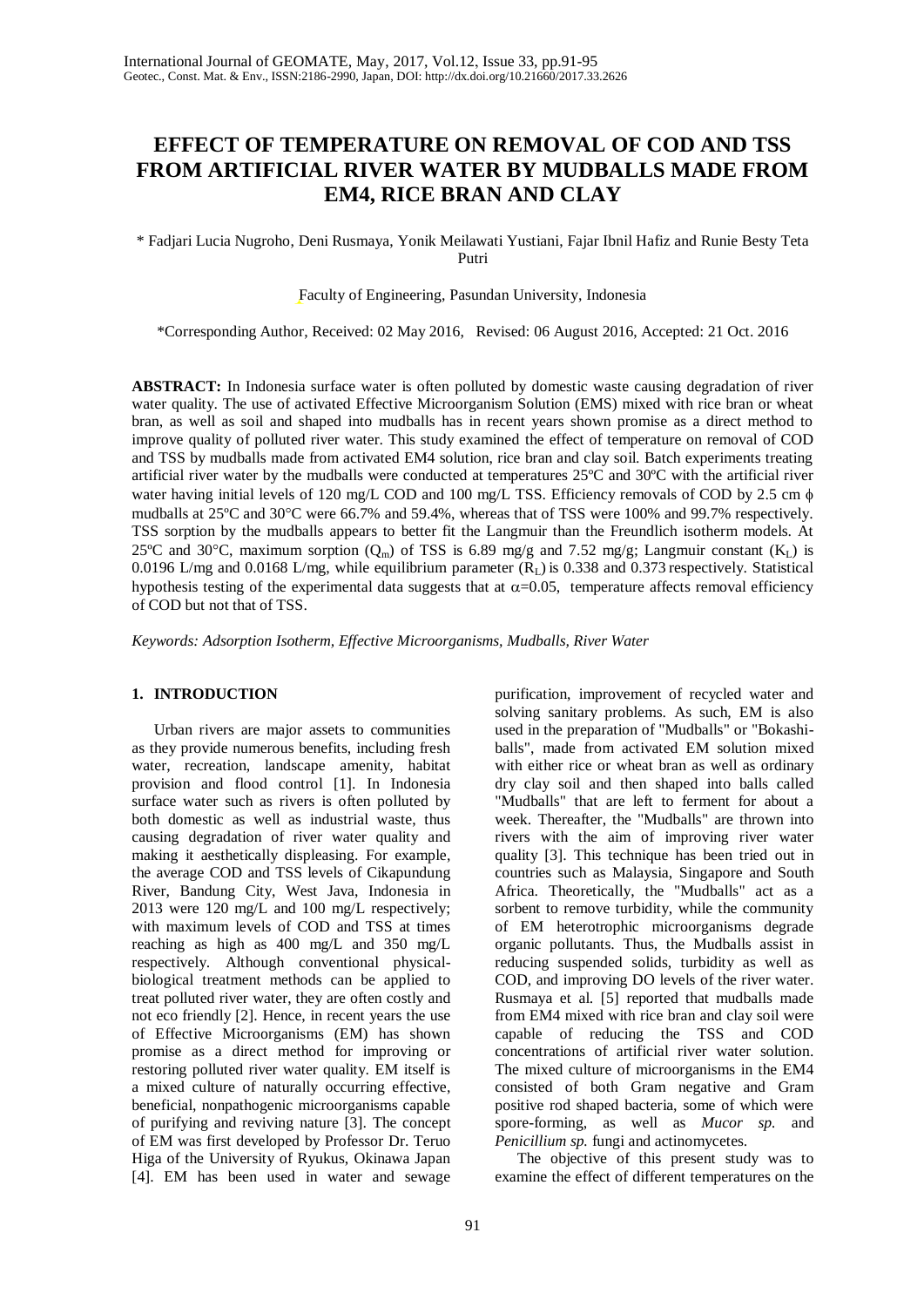# **EFFECT OF TEMPERATURE ON REMOVAL OF COD AND TSS FROM ARTIFICIAL RIVER WATER BY MUDBALLS MADE FROM EM4, RICE BRAN AND CLAY**

\* Fadjari Lucia Nugroho, Deni Rusmaya, Yonik Meilawati Yustiani, Fajar Ibnil Hafiz and Runie Besty Teta Putri

Faculty of Engineering, Pasundan University, Indonesia

\*Corresponding Author, Received: 02 May 2016, Revised: 06 August 2016, Accepted: 21 Oct. 2016

**ABSTRACT:** In Indonesia surface water is often polluted by domestic waste causing degradation of river water quality. The use of activated Effective Microorganism Solution (EMS) mixed with rice bran or wheat bran, as well as soil and shaped into mudballs has in recent years shown promise as a direct method to improve quality of polluted river water. This study examined the effect of temperature on removal of COD and TSS by mudballs made from activated EM4 solution, rice bran and clay soil. Batch experiments treating artificial river water by the mudballs were conducted at temperatures 25ºC and 30ºC with the artificial river water having initial levels of 120 mg/L COD and 100 mg/L TSS. Efficiency removals of COD by 2.5 cm  $\phi$ mudballs at  $25^{\circ}$ C and  $30^{\circ}$ C were 66.7% and 59.4%, whereas that of TSS were 100% and 99.7% respectively. TSS sorption by the mudballs appears to better fit the Langmuir than the Freundlich isotherm models. At 25°C and 30°C, maximum sorption  $(Q_m)$  of TSS is 6.89 mg/g and 7.52 mg/g; Langmuir constant  $(K_L)$  is 0.0196 L/mg and 0.0168 L/mg, while equilibrium parameter  $(R_L)$  is 0.338 and 0.373 respectively. Statistical hypothesis testing of the experimental data suggests that at  $\alpha$ =0.05, temperature affects removal efficiency of COD but not that of TSS.

*Keywords: Adsorption Isotherm, Effective Microorganisms, Mudballs, River Water*

## **1. INTRODUCTION**

Urban rivers are major assets to communities as they provide numerous benefits, including fresh water, recreation, landscape amenity, habitat provision and flood control [1]. In Indonesia surface water such as rivers is often polluted by both domestic as well as industrial waste, thus causing degradation of river water quality and making it aesthetically displeasing. For example, the average COD and TSS levels of Cikapundung River, Bandung City, West Java, Indonesia in 2013 were 120 mg/L and 100 mg/L respectively; with maximum levels of COD and TSS at times reaching as high as 400 mg/L and 350 mg/L respectively. Although conventional physicalbiological treatment methods can be applied to treat polluted river water, they are often costly and not eco friendly [2]. Hence, in recent years the use of Effective Microorganisms (EM) has shown promise as a direct method for improving or restoring polluted river water quality. EM itself is a mixed culture of naturally occurring effective, beneficial, nonpathogenic microorganisms capable of purifying and reviving nature [3]. The concept of EM was first developed by Professor Dr. Teruo Higa of the University of Ryukus, Okinawa Japan [4]. EM has been used in water and sewage

purification, improvement of recycled water and solving sanitary problems. As such, EM is also used in the preparation of "Mudballs" or "Bokashiballs", made from activated EM solution mixed with either rice or wheat bran as well as ordinary dry clay soil and then shaped into balls called "Mudballs" that are left to ferment for about a week. Thereafter, the "Mudballs" are thrown into rivers with the aim of improving river water quality [3]. This technique has been tried out in countries such as Malaysia, Singapore and South Africa. Theoretically, the "Mudballs" act as a sorbent to remove turbidity, while the community of EM heterotrophic microorganisms degrade organic pollutants. Thus, the Mudballs assist in reducing suspended solids, turbidity as well as COD, and improving DO levels of the river water. Rusmaya et al. [5] reported that mudballs made from EM4 mixed with rice bran and clay soil were capable of reducing the TSS and COD concentrations of artificial river water solution. The mixed culture of microorganisms in the EM4 consisted of both Gram negative and Gram positive rod shaped bacteria, some of which were spore-forming, as well as *Mucor sp.* and *Penicillium sp.* fungi and actinomycetes.

The objective of this present study was to examine the effect of different temperatures on the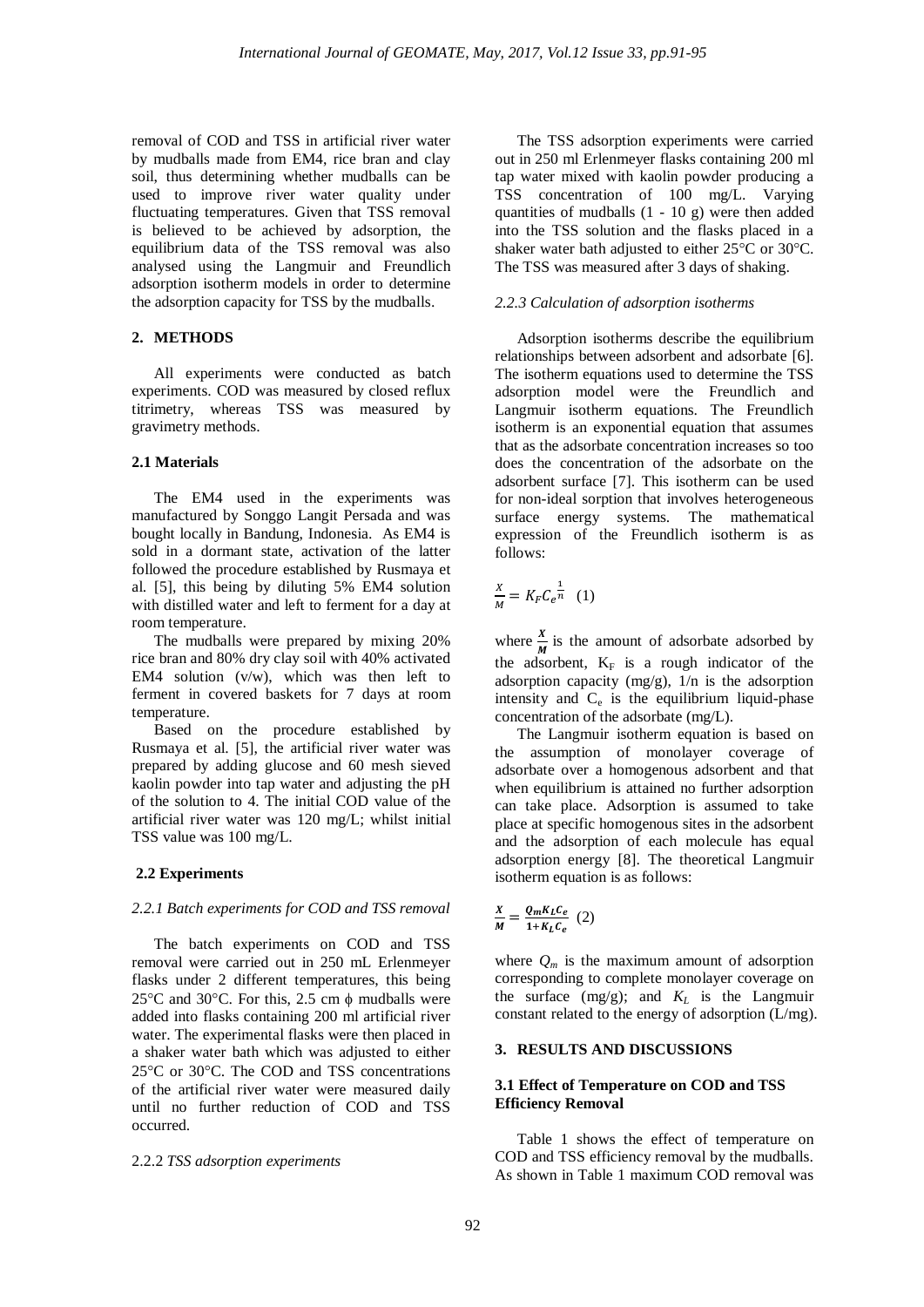removal of COD and TSS in artificial river water by mudballs made from EM4, rice bran and clay soil, thus determining whether mudballs can be used to improve river water quality under fluctuating temperatures. Given that TSS removal is believed to be achieved by adsorption, the equilibrium data of the TSS removal was also analysed using the Langmuir and Freundlich adsorption isotherm models in order to determine the adsorption capacity for TSS by the mudballs.

# **2. METHODS**

All experiments were conducted as batch experiments. COD was measured by closed reflux titrimetry, whereas TSS was measured by gravimetry methods.

## **2.1 Materials**

The EM4 used in the experiments was manufactured by Songgo Langit Persada and was bought locally in Bandung, Indonesia. As EM4 is sold in a dormant state, activation of the latter followed the procedure established by Rusmaya et al. [5], this being by diluting 5% EM4 solution with distilled water and left to ferment for a day at room temperature.

The mudballs were prepared by mixing 20% rice bran and 80% dry clay soil with 40% activated EM4 solution (v/w), which was then left to ferment in covered baskets for 7 days at room temperature.

Based on the procedure established by Rusmaya et al. [5], the artificial river water was prepared by adding glucose and 60 mesh sieved kaolin powder into tap water and adjusting the pH of the solution to 4. The initial COD value of the artificial river water was 120 mg/L; whilst initial TSS value was 100 mg/L.

## **2.2 Experiments**

#### *2.2.1 Batch experiments for COD and TSS removal*

The batch experiments on COD and TSS removal were carried out in 250 mL Erlenmeyer flasks under 2 different temperatures, this being 25 $\degree$ C and 30 $\degree$ C. For this, 2.5 cm  $\phi$  mudballs were added into flasks containing 200 ml artificial river water. The experimental flasks were then placed in a shaker water bath which was adjusted to either 25°C or 30°C. The COD and TSS concentrations of the artificial river water were measured daily until no further reduction of COD and TSS occurred.

#### 2.2.2 *TSS adsorption experiments*

The TSS adsorption experiments were carried out in 250 ml Erlenmeyer flasks containing 200 ml tap water mixed with kaolin powder producing a TSS concentration of 100 mg/L. Varying quantities of mudballs (1 - 10 g) were then added into the TSS solution and the flasks placed in a shaker water bath adjusted to either  $25^{\circ}$ C or 30°C. The TSS was measured after 3 days of shaking.

#### *2.2.3 Calculation of adsorption isotherms*

Adsorption isotherms describe the equilibrium relationships between adsorbent and adsorbate [6]. The isotherm equations used to determine the TSS adsorption model were the Freundlich and Langmuir isotherm equations. The Freundlich isotherm is an exponential equation that assumes that as the adsorbate concentration increases so too does the concentration of the adsorbate on the adsorbent surface [7]. This isotherm can be used for non-ideal sorption that involves heterogeneous surface energy systems. The mathematical expression of the Freundlich isotherm is as follows:

$$
\frac{x}{M} = K_F C_e^{\frac{1}{n}} \quad (1)
$$

where  $\frac{x}{M}$  is the amount of adsorbate adsorbed by the adsorbent,  $K_F$  is a rough indicator of the adsorption capacity  $(mg/g)$ ,  $1/n$  is the adsorption intensity and  $C_e$  is the equilibrium liquid-phase concentration of the adsorbate (mg/L).

The Langmuir isotherm equation is based on the assumption of monolayer coverage of adsorbate over a homogenous adsorbent and that when equilibrium is attained no further adsorption can take place. Adsorption is assumed to take place at specific homogenous sites in the adsorbent and the adsorption of each molecule has equal adsorption energy [8]. The theoretical Langmuir isotherm equation is as follows:

$$
\frac{X}{M} = \frac{Q_m K_L C_e}{1 + K_L C_e} \tag{2}
$$

where  $Q_m$  is the maximum amount of adsorption corresponding to complete monolayer coverage on the surface  $(mg/g)$ ; and  $K_L$  is the Langmuir constant related to the energy of adsorption (L/mg).

## **3. RESULTS AND DISCUSSIONS**

## **3.1 Effect of Temperature on COD and TSS Efficiency Removal**

Table 1 shows the effect of temperature on COD and TSS efficiency removal by the mudballs. As shown in Table 1 maximum COD removal was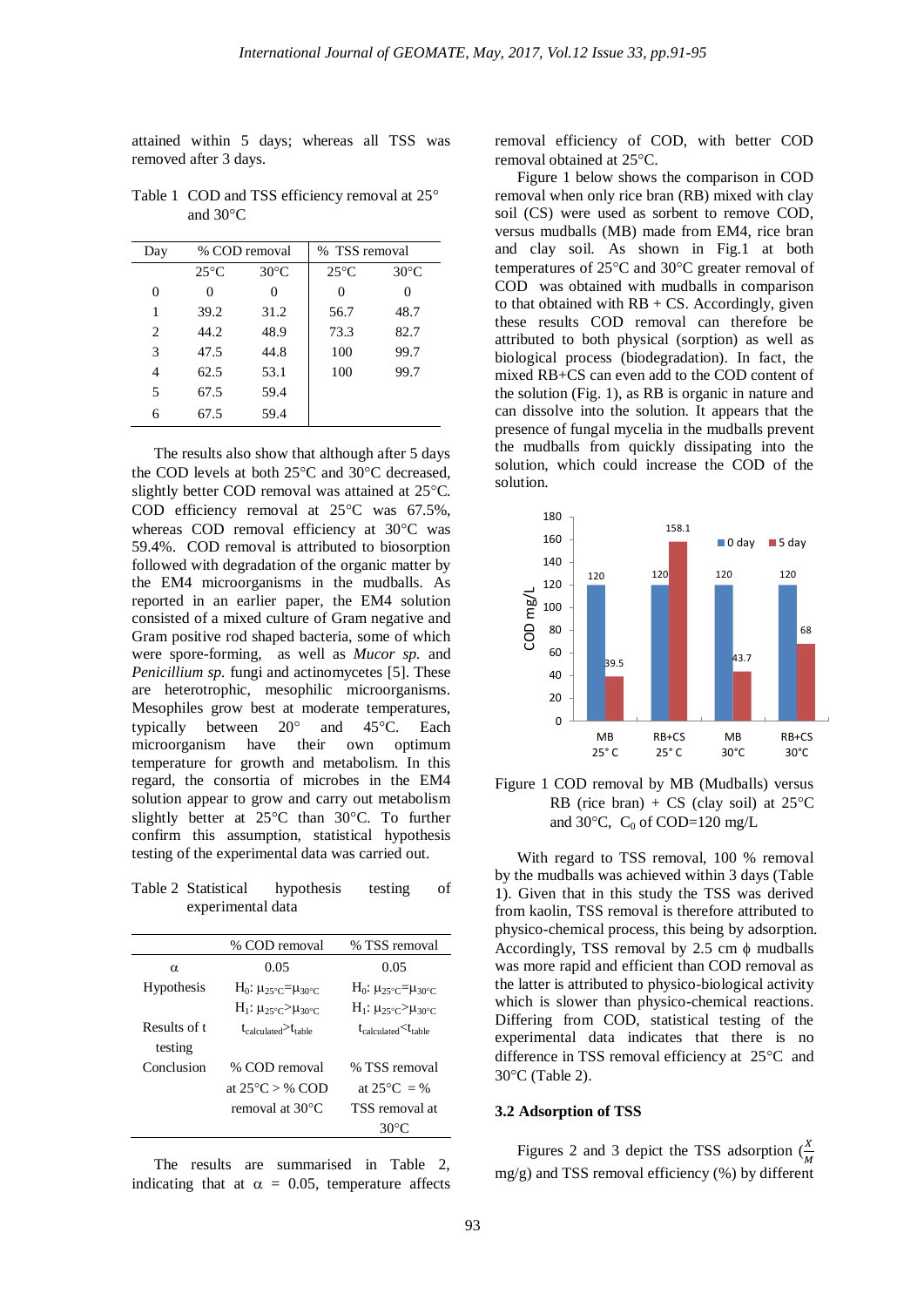attained within 5 days; whereas all TSS was removed after 3 days.

| Day | % COD removal  |                | % TSS removal  |                |
|-----|----------------|----------------|----------------|----------------|
|     | $25^{\circ}$ C | $30^{\circ}$ C | $25^{\circ}$ C | $30^{\circ}$ C |
| 0   | 0              | 0              | 0              | 0              |
| 1   | 39.2           | 31.2           | 56.7           | 48.7           |
| 2   | 44.2           | 48.9           | 73.3           | 82.7           |
| 3   | 47.5           | 44.8           | 100            | 99.7           |
| 4   | 62.5           | 53.1           | 100            | 99.7           |
| 5   | 67.5           | 59.4           |                |                |
| 6   | 67.5           | 59.4           |                |                |

Table 1 COD and TSS efficiency removal at 25° and  $30^{\circ}$ C

The results also show that although after 5 days the COD levels at both  $25^{\circ}$ C and  $30^{\circ}$ C decreased, slightly better COD removal was attained at  $25^{\circ}$ C. COD efficiency removal at  $25^{\circ}$ C was  $67.5\%$ , whereas COD removal efficiency at  $30^{\circ}$ C was 59.4%. COD removal is attributed to biosorption followed with degradation of the organic matter by the EM4 microorganisms in the mudballs. As reported in an earlier paper, the EM4 solution consisted of a mixed culture of Gram negative and Gram positive rod shaped bacteria, some of which were spore-forming, as well as *Mucor sp.* and *Penicillium sp.* fungi and actinomycetes [5]. These are heterotrophic, mesophilic microorganisms. Mesophiles grow best at moderate temperatures, typically between  $20^{\circ}$  and  $45^{\circ}$ C. Each microorganism have their own optimum temperature for growth and metabolism. In this regard, the consortia of microbes in the EM4 solution appear to grow and carry out metabolism slightly better at  $25^{\circ}$ C than  $30^{\circ}$ C. To further confirm this assumption, statistical hypothesis testing of the experimental data was carried out.

Table 2 Statistical hypothesis testing of experimental data

|              | % COD removal                                 | % TSS removal                                   |
|--------------|-----------------------------------------------|-------------------------------------------------|
| α            | 0.05                                          | 0.05                                            |
| Hypothesis   | $H_0: \mu_{25\degree C} = \mu_{30\degree C}$  | $H_0$ : $\mu_{25\degree C} = \mu_{30\degree C}$ |
|              | $H_1$ : $\mu_{25\degree}$ / $\mu_{30\degree}$ | $H_1: \mu_{25^{\circ}C} > \mu_{30^{\circ}C}$    |
| Results of t | $t_{\rm calculated}$ $>$ $t_{\rm table}$      | $t_{\rm calculated}$ $<$ $t_{\rm table}$        |
| testing      |                                               |                                                 |
| Conclusion   | % COD removal                                 | % TSS removal                                   |
|              | at $25^{\circ}$ C > % COD                     | at $25^{\circ}$ C = %                           |
|              | removal at $30^{\circ}$ C                     | TSS removal at                                  |
|              |                                               | 30 $^{\circ}$ C                                 |

The results are summarised in Table 2, indicating that at  $\alpha = 0.05$ , temperature affects removal efficiency of COD, with better COD removal obtained at 25°C.

Figure 1 below shows the comparison in COD removal when only rice bran (RB) mixed with clay soil (CS) were used as sorbent to remove COD, versus mudballs (MB) made from EM4, rice bran and clay soil. As shown in Fig.1 at both temperatures of  $25^{\circ}$ C and  $30^{\circ}$ C greater removal of COD was obtained with mudballs in comparison to that obtained with  $RB + CS$ . Accordingly, given these results COD removal can therefore be attributed to both physical (sorption) as well as biological process (biodegradation). In fact, the mixed RB+CS can even add to the COD content of the solution (Fig. 1), as RB is organic in nature and can dissolve into the solution. It appears that the presence of fungal mycelia in the mudballs prevent the mudballs from quickly dissipating into the solution, which could increase the COD of the solution.



Figure 1 COD removal by MB (Mudballs) versus RB (rice bran) + CS (clay soil) at  $25^{\circ}$ C and 30 $\degree$ C, C<sub>0</sub> of COD=120 mg/L

With regard to TSS removal, 100 % removal by the mudballs was achieved within 3 days (Table 1). Given that in this study the TSS was derived from kaolin, TSS removal is therefore attributed to physico-chemical process, this being by adsorption. Accordingly, TSS removal by 2.5 cm  $\phi$  mudballs was more rapid and efficient than COD removal as the latter is attributed to physico-biological activity which is slower than physico-chemical reactions. Differing from COD, statistical testing of the experimental data indicates that there is no difference in TSS removal efficiency at  $25^{\circ}$ C and  $30^{\circ}$ C (Table 2).

## **3.2 Adsorption of TSS**

Figures 2 and 3 depict the TSS adsorption  $(\frac{X}{M})$ mg/g) and TSS removal efficiency (%) by different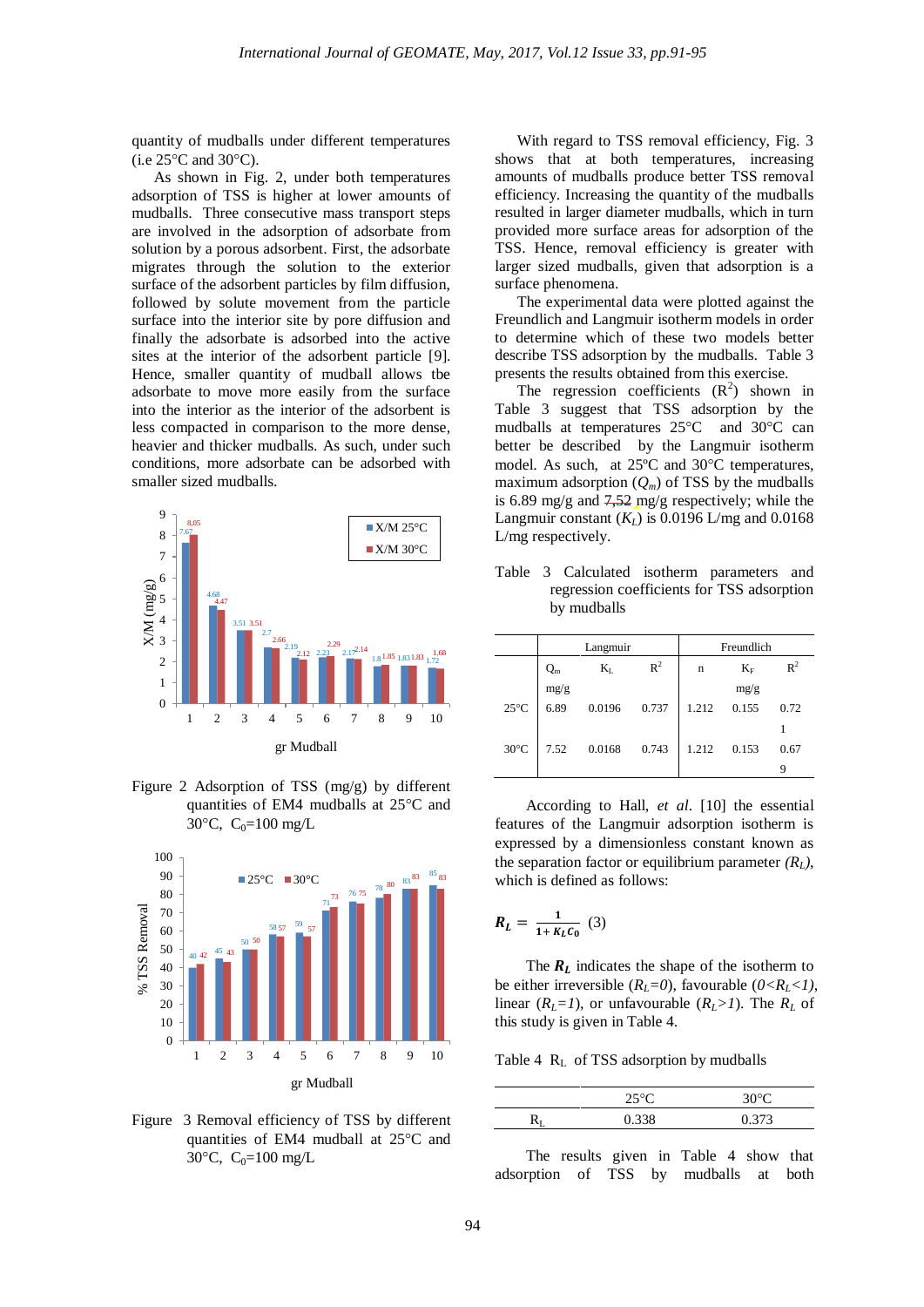quantity of mudballs under different temperatures  $(i.e. 25^{\circ}$ C and  $30^{\circ}$ C).

As shown in Fig. 2, under both temperatures adsorption of TSS is higher at lower amounts of mudballs. Three consecutive mass transport steps are involved in the adsorption of adsorbate from solution by a porous adsorbent. First, the adsorbate migrates through the solution to the exterior surface of the adsorbent particles by film diffusion, followed by solute movement from the particle surface into the interior site by pore diffusion and finally the adsorbate is adsorbed into the active sites at the interior of the adsorbent particle [9]. Hence, smaller quantity of mudball allows tbe adsorbate to move more easily from the surface into the interior as the interior of the adsorbent is less compacted in comparison to the more dense, heavier and thicker mudballs. As such, under such conditions, more adsorbate can be adsorbed with smaller sized mudballs.



Figure 2 Adsorption of TSS (mg/g) by different quantities of EM4 mudballs at  $25^{\circ}$ C and 30 $\degree$ C, C<sub>0</sub>=100 mg/L



Figure 3 Removal efficiency of TSS by different quantities of EM4 mudball at  $25^{\circ}$ C and 30 $\degree$ C, C<sub>0</sub>=100 mg/L

With regard to TSS removal efficiency, Fig. 3 shows that at both temperatures, increasing amounts of mudballs produce better TSS removal efficiency. Increasing the quantity of the mudballs resulted in larger diameter mudballs, which in turn provided more surface areas for adsorption of the TSS. Hence, removal efficiency is greater with larger sized mudballs, given that adsorption is a surface phenomena.

The experimental data were plotted against the Freundlich and Langmuir isotherm models in order to determine which of these two models better describe TSS adsorption by the mudballs. Table 3 presents the results obtained from this exercise.

The regression coefficients  $(R^2)$  shown in Table 3 suggest that TSS adsorption by the mudballs at temperatures  $25^{\circ}$ C and  $30^{\circ}$ C can better be described by the Langmuir isotherm model. As such, at 25°C and 30°C temperatures, maximum adsorption  $(Q_m)$  of TSS by the mudballs is 6.89 mg/g and  $7,52$  mg/g respectively; while the Langmuir constant  $(K_L)$  is 0.0196 L/mg and 0.0168 L/mg respectively.

|                | Langmuir |         | Freundlich |       |       |                |
|----------------|----------|---------|------------|-------|-------|----------------|
|                | $Q_m$    | $K_{L}$ | $R^2$      | n     | $K_F$ | $\mathbb{R}^2$ |
|                | mg/g     |         |            |       | mg/g  |                |
| $25^{\circ}$ C | 6.89     | 0.0196  | 0.737      | 1.212 | 0.155 | 0.72           |
|                |          |         |            |       |       |                |
| $30^{\circ}$ C | 7.52     | 0.0168  | 0.743      | 1.212 | 0.153 | 0.67           |
|                |          |         |            |       |       |                |

Table 3 Calculated isotherm parameters and regression coefficients for TSS adsorption by mudballs

According to Hall, *et al*. [10] the essential features of the Langmuir adsorption isotherm is expressed by a dimensionless constant known as the separation factor or equilibrium parameter  $(R<sub>L</sub>)$ , which is defined as follows:

$$
R_L = \frac{1}{1 + K_L C_0} \tag{3}
$$

The  $R_L$  indicates the shape of the isotherm to be either irreversible  $(R_L=0)$ , favourable  $(0 < R_L < 1)$ , linear  $(R_L=1)$ , or unfavourable  $(R_L>1)$ . The  $R_L$  of this study is given in Table 4.

Table 4 R<sub>L</sub> of TSS adsorption by mudballs

| 250 <sup>o</sup> | 21197 |
|------------------|-------|
|                  |       |

The results given in Table 4 show that adsorption of TSS by mudballs at both